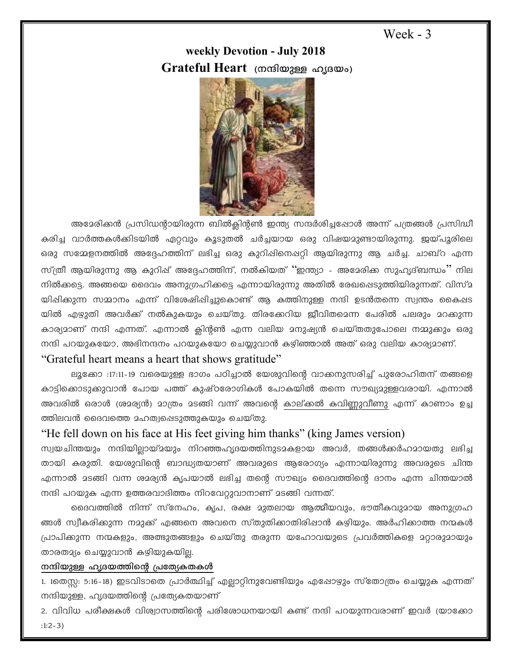# Week - 3

# **weekly Devotion - July 2018**   $G$ rateful Heart (നന്ദിയുള്ള ഹൃദയം)



അമേരിക്കൻ പ്രസിഡന്റായിരുന്ന ബിൽക്ലിന്റൺ ഇന്ത്യ സന്ദർശിച്ചപ്പോൾ അന്ന് പത്രങ്ങൾ പ്രസിദ്ധീ കരിച്ച വാർത്തകൾക്കിടയിൽ ഏറ്റവും കൂടുതൽ ചർച്ചയായ ഒരു വിഷയമുണ്ടായിരുന്നു. ജയ്പൂരിലെ ഒരു സമ്മേളനത്തിൽ അദ്ദേഹത്തിന് ലഭിച്ച ഒരു കുറിഷിനെഷറ്റി ആയിരുന്നു ആ ചർച്ച. ചാബ്റ എന്ന സ്ത്രീ ആയിരുന്നു ആ കുറിഷ് അദ്ദേഹത്തിന്, നൽകിയത് ''ഇന്ത്യാ - അമേരിക്ക സുഹൃദ്ബന്ധം'' നില നിൽക്കട്ടെ. അങ്ങയെ ദൈവം അനുഗ്രഹിക്കട്ടെ എന്നായിരുന്നു അതിൽ രേഖപ്പെടുത്തിയിരുന്നത്. വിസ്മ യിഷിക്കുന്ന സമ്മാനം എന്ന് വിശേഷിഷിച്ചുകൊണ്ട് ആ കത്തിനുള്ള നന്ദി ഉടൻതന്നെ സ്വന്തം കൈഷട യിൽ എഴുതി അവർക്ക് നൽകുകയും ചെയ്തു. തിരക്കേറിയ ജീവിതമെന്ന പേരിൽ പലരും മറക്കുന്ന കാര്യമാണ് നന്ദി എന്നത്. എന്നാൽ ക്ലിന്റൺ എന്ന വലിയ മനുഷ്യൻ ചെയ്തതുപോലെ നമ്മുക്കും ഒരു നന്ദി പറയുകയോ, അഭിനന്ദനം പറയുകയോ ചെയ്യുവാൻ കഴിഞ്ഞാൽ അത് ഒരു വലിയ കാര്യമാണ്.

#### "Grateful heart means a heart that shows gratitude"

ലൂക്കോ :17:11-19 വരെയുള്ള ഭാഗം പഠിച്ചാൽ യേശുവിന്റെ വാക്കനുസരിച്ച് പുരോഹിതന് തങ്ങളെ കാട്ടിക്കൊടുക്കുവാൻ പോയ പത്ത് കുഷ്ഠരോഗികൾ പോകയിൽ തന്നെ സൗഖ്യമുള്ളവരായി. എന്നാൽ അവരിൽ ഒരാൾ (ശാര്യൻ) മാത്രം മടങ്ങി വന്ന് അവന്റെ കാല്ക്കൽ കവിണ്ണുവീണു എന്ന് കാണാം ഉച്ച ത്തിലവൻ ദൈവത്തെ മഹത്വപ്പെടുത്തുകയും ചെയ്തു.

### "He fell down on his face at His feet giving him thanks" (king James version)

സ്വയചിന്തയും നന്ദിയിലായ്മയും നിറഞ്ഞഹ്യദയത്തിനുടമകളായ അവർ, തങ്ങൾക്കർഹമായതു ലഭിച്ച തായി കരുതി. യേശുവിന്റെ ബാദ്ധ്യതയാണ് അവരുടെ ആരോഗ്യം എന്നായിരുന്നു അവരുടെ ചിന്ത എന്നാൽ മടങ്ങി വന്ന ശമര്യൻ കൃപയാൽ ലഭിച്ച തന്റെ സൗഖ്യം ദൈവത്തിന്റെ ദാനം എന്ന ചിന്തയാൽ നന്ദി പറയുക എന്ന ഉത്തരവാദിത്തം നിറവേറ്റുവാനാണ് മടങ്ങി വന്നത്.

ഒദെവത്തിൽ നിന്ന് സ്നേഹം, കൃപ, രക്ഷ മുതലായ ആത്മീയവും, ഭൗതീകവുമായ അനുഗ്രഹ ങ്ങൾ സ്വീകരിക്കുന്ന നമുക്ക് എങ്ങനെ അവനെ സ്തുതിക്കാതിരിപ്പാൻ കഴിയും. അർഹിക്കാത്ത നന്മകൾ (പാപിക്കുന്ന നന്മകളും, അത്ഭുതങ്ങളും ചെയ്തു തരുന്ന യഹോവയുടെ പ്രവർത്തികളെ <u>മറ്റാ</u>രുമായും താരതമ്യം ചെയ്യുവാൻ കഴിയുകയില്ല.

#### നന്ദിയുള്ള ഹൃദയത്തിന്റെ പ്രത്യേകതകൾ

1. 1തെസ്സ: 5:16-18) ഇടവിടാതെ പ്രാർത്ഥിച്ച് എല്ലാറ്റിനുവേണ്ടിയും എഷോഴും സ്തോത്രം ചെയ്യുക എന്നത് നന്ദിയുള്ള, ഹൃദയത്തിന്റെ പ്രത്യേകതയാണ്

2. വിവിധ പരീക്ഷകൾ വിശ്വാസത്തിന്റെ പരിശോധനയായി കണ്ട് നന്ദി പറയുന്നവരാണ് ഇവർ (യാക്കോ  $:1:2-3)$